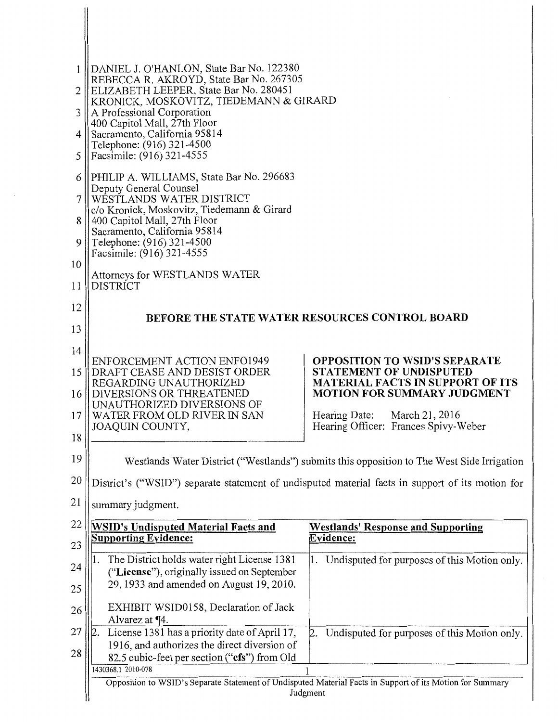| 1<br>$\overline{2}$<br>3<br>4<br>5 | DANIEL J. O'HANLON, State Bar No. 122380<br>REBECCA R. AKROYD, State Bar No. 267305<br>ELIZABETH LEEPER, State Bar No. 280451<br>KRONICK, MOSKOVITZ, TIEDEMANN & GIRARD<br>A Professional Corporation<br>400 Capitol Mall, 27th Floor<br>Sacramento, California 95814<br>Telephone: (916) 321-4500<br>Facsimile: (916) 321-4555 |                                                                                                                       |
|------------------------------------|---------------------------------------------------------------------------------------------------------------------------------------------------------------------------------------------------------------------------------------------------------------------------------------------------------------------------------|-----------------------------------------------------------------------------------------------------------------------|
| 6                                  | PHILIP A. WILLIAMS, State Bar No. 296683<br>Deputy General Counsel                                                                                                                                                                                                                                                              |                                                                                                                       |
| 7                                  | WESTLANDS WATER DISTRICT<br>c/o Kronick, Moskovitz, Tiedemann & Girard                                                                                                                                                                                                                                                          |                                                                                                                       |
| 8                                  | 400 Capitol Mall, 27th Floor<br>Sacramento, California 95814                                                                                                                                                                                                                                                                    |                                                                                                                       |
| 9                                  | Telephone: (916) 321-4500<br>Facsimile: (916) 321-4555                                                                                                                                                                                                                                                                          |                                                                                                                       |
| 10                                 |                                                                                                                                                                                                                                                                                                                                 |                                                                                                                       |
| 11                                 | Attorneys for WESTLANDS WATER<br><b>DISTRICT</b>                                                                                                                                                                                                                                                                                |                                                                                                                       |
| 12                                 |                                                                                                                                                                                                                                                                                                                                 | BEFORE THE STATE WATER RESOURCES CONTROL BOARD                                                                        |
| 13                                 |                                                                                                                                                                                                                                                                                                                                 |                                                                                                                       |
| 14                                 |                                                                                                                                                                                                                                                                                                                                 |                                                                                                                       |
| 15                                 | ENFORCEMENT ACTION ENFO1949<br>DRAFT CEASE AND DESIST ORDER                                                                                                                                                                                                                                                                     | <b>OPPOSITION TO WSID'S SEPARATE</b><br>STATEMENT OF UNDISPUTED                                                       |
| 16                                 | REGARDING UNAUTHORIZED<br>DIVERSIONS OR THREATENED                                                                                                                                                                                                                                                                              | <b>MATERIAL FACTS IN SUPPORT OF ITS</b><br><b>MOTION FOR SUMMARY JUDGMENT</b>                                         |
| 17                                 | UNAUTHORIZED DIVERSIONS OF<br>WATER FROM OLD RIVER IN SAN                                                                                                                                                                                                                                                                       | March 21, 2016<br>Hearing Date:                                                                                       |
| 18                                 | JOAQUIN COUNTY,                                                                                                                                                                                                                                                                                                                 | Hearing Officer: Frances Spivy-Weber                                                                                  |
| 19                                 |                                                                                                                                                                                                                                                                                                                                 | Westlands Water District ("Westlands") submits this opposition to The West Side Irrigation                            |
| 20                                 |                                                                                                                                                                                                                                                                                                                                 | District's ("WSID") separate statement of undisputed material facts in support of its motion for                      |
| 21                                 | summary judgment.                                                                                                                                                                                                                                                                                                               |                                                                                                                       |
| 22                                 | <b>WSID's Undisputed Material Facts and</b>                                                                                                                                                                                                                                                                                     | <b>Westlands' Response and Supporting</b>                                                                             |
| 23                                 | <b>Supporting Evidence:</b>                                                                                                                                                                                                                                                                                                     | <b>Evidence:</b>                                                                                                      |
| 24                                 | The District holds water right License 1381<br>("License"), originally issued on September                                                                                                                                                                                                                                      | Undisputed for purposes of this Motion only.<br>1.                                                                    |
| 25                                 | 29, 1933 and amended on August 19, 2010.                                                                                                                                                                                                                                                                                        |                                                                                                                       |
| 26                                 | EXHIBIT WSID0158, Declaration of Jack<br>Alvarez at $\P$ 4.                                                                                                                                                                                                                                                                     |                                                                                                                       |
| 27                                 | License 1381 has a priority date of April 17,<br>12                                                                                                                                                                                                                                                                             | Undisputed for purposes of this Motion only.<br>2.                                                                    |
| 28                                 | 1916, and authorizes the direct diversion of                                                                                                                                                                                                                                                                                    |                                                                                                                       |
|                                    |                                                                                                                                                                                                                                                                                                                                 |                                                                                                                       |
|                                    | 82.5 cubic-feet per section ("cfs") from Old<br>1430368.1 2010-078                                                                                                                                                                                                                                                              |                                                                                                                       |
|                                    |                                                                                                                                                                                                                                                                                                                                 | Opposition to WSID's Separate Statement of Undisputed Material Facts in Support of its Motion for Summary<br>Judgment |

 $\blacksquare$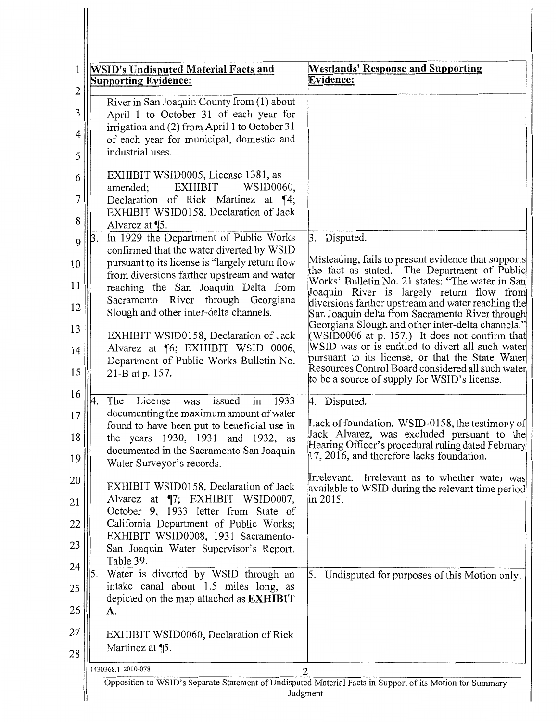| 1<br>2      | <b>WSID's Undisputed Material Facts and</b><br><b>Supporting Evidence:</b>                                                                                                                            | <b>Westlands' Response and Supporting</b><br>Evidence:                                                                                                     |
|-------------|-------------------------------------------------------------------------------------------------------------------------------------------------------------------------------------------------------|------------------------------------------------------------------------------------------------------------------------------------------------------------|
| 3<br>4<br>5 | River in San Joaquin County from (1) about<br>April 1 to October 31 of each year for<br>irrigation and (2) from April 1 to October 31<br>of each year for municipal, domestic and<br>industrial uses. |                                                                                                                                                            |
| 6<br>7<br>8 | EXHIBIT WSID0005, License 1381, as<br><b>EXHIBIT</b><br>WSID0060,<br>amended;<br>Declaration of Rick Martinez at ¶4;<br>EXHIBIT WSID0158, Declaration of Jack<br>Alvarez at ¶5.                       |                                                                                                                                                            |
| 9           | In 1929 the Department of Public Works<br> 3.<br>confirmed that the water diverted by WSID                                                                                                            | 3. Disputed.                                                                                                                                               |
| 10          | pursuant to its license is "largely return flow<br>from diversions farther upstream and water                                                                                                         | Misleading, fails to present evidence that supports<br>the fact as stated. The Department of Public<br>Works' Bulletin No. 21 states: "The water in San    |
| 11          | reaching the San Joaquin Delta from<br>Sacramento River through Georgiana                                                                                                                             | Joaquin River is largely return flow from                                                                                                                  |
| 12<br>13    | Slough and other inter-delta channels.                                                                                                                                                                | diversions farther upstream and water reaching the<br>San Joaquin delta from Sacramento River through<br>Georgiana Slough and other inter-delta channels." |
| 14          | EXHIBIT WSID0158, Declaration of Jack<br>Alvarez at ¶6; EXHIBIT WSID 0006,                                                                                                                            | (WSID0006 at p. 157.) It does not confirm that<br>WSID was or is entitled to divert all such water<br>pursuant to its license, or that the State Water     |
| 15          | Department of Public Works Bulletin No.<br>21-B at p. 157.                                                                                                                                            | Resources Control Board considered all such water<br>to be a source of supply for WSID's license.                                                          |
| 16          | License<br>issued<br>in<br>1933<br>The<br>4<br>was                                                                                                                                                    | 4. Disputed.                                                                                                                                               |
| 17<br>18    | documenting the maximum amount of water<br>found to have been put to beneficial use in<br>the years 1930, 1931 and 1932, as                                                                           | Lack of foundation. WSID-0158, the testimony of<br>Jack Alvarez, was excluded pursuant to the                                                              |
| 19          | documented in the Sacramento San Joaquin<br>Water Surveyor's records.                                                                                                                                 | Hearing Officer's procedural ruling dated February<br>17, 2016, and therefore lacks foundation.                                                            |
| 20          | EXHIBIT WSID0158, Declaration of Jack                                                                                                                                                                 | Irrelevant as to whether water was<br>Irrelevant.<br>available to WSID during the relevant time period                                                     |
| 21          | Alvarez at ¶7; EXHIBIT WSID0007,<br>October 9, 1933 letter from State of                                                                                                                              | in 2015.                                                                                                                                                   |
| 22          | California Department of Public Works;<br>EXHIBIT WSID0008, 1931 Sacramento-                                                                                                                          |                                                                                                                                                            |
| 23          | San Joaquin Water Supervisor's Report.<br>Table 39.                                                                                                                                                   |                                                                                                                                                            |
| 24<br>25    | 5.<br>Water is diverted by WSID through an<br>intake canal about 1.5 miles long, as                                                                                                                   | 5. Undisputed for purposes of this Motion only.                                                                                                            |
| 26          | depicted on the map attached as <b>EXHIBIT</b><br><b>A.</b>                                                                                                                                           |                                                                                                                                                            |
| 27          | EXHIBIT WSID0060, Declaration of Rick                                                                                                                                                                 |                                                                                                                                                            |
| 28          | Martinez at ¶5.                                                                                                                                                                                       |                                                                                                                                                            |
|             | 1430368.1 2010-078                                                                                                                                                                                    | 2                                                                                                                                                          |
|             |                                                                                                                                                                                                       | Opposition to WSID's Separate Statement of Undisputed Material Facts in Support of its Motion for Summary<br>Judgment                                      |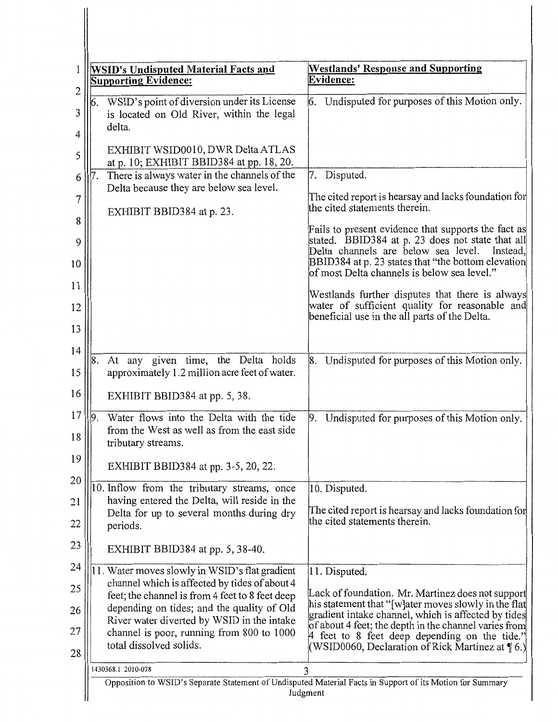| $\overline{c}$                                          | <b>WSID's Undisputed Material Facts and</b><br><b>Supporting Evidence:</b>                                                                                                                                                                                                                                              | <b>Westlands' Response and Supporting</b><br>Evidence:                                                                                                                                                                                                                                                                                                                                                                                                                                                                                                                            |
|---------------------------------------------------------|-------------------------------------------------------------------------------------------------------------------------------------------------------------------------------------------------------------------------------------------------------------------------------------------------------------------------|-----------------------------------------------------------------------------------------------------------------------------------------------------------------------------------------------------------------------------------------------------------------------------------------------------------------------------------------------------------------------------------------------------------------------------------------------------------------------------------------------------------------------------------------------------------------------------------|
| 3<br>4<br>5<br>6<br>7<br>8<br>9<br>10<br>11<br>12<br>13 | WSID's point of diversion under its License<br>6.<br>is located on Old River, within the legal<br>delta.<br>EXHIBIT WSID0010, DWR Delta ATLAS<br>at p. 10; EXHIBIT BBID384 at pp. 18, 20.<br>There is always water in the channels of the<br>7.<br>Delta because they are below sea level.<br>EXHIBIT BBID384 at p. 23. | 6. Undisputed for purposes of this Motion only.<br>7. Disputed.<br>The cited report is hearsay and lacks foundation for<br>the cited statements therein.<br>Fails to present evidence that supports the fact as<br>stated. BBID384 at p. 23 does not state that all<br>Delta channels are below sea level.<br>Instead,<br>BBID384 at p. 23 states that "the bottom elevation<br>of most Delta channels is below sea level."<br>Westlands further disputes that there is always<br>water of sufficient quality for reasonable and<br>beneficial use in the all parts of the Delta. |
| 14<br>15<br>16                                          | At any given time, the Delta holds<br>8.<br>approximately 1.2 million acre feet of water.<br>EXHIBIT BBID384 at pp. 5, 38.                                                                                                                                                                                              | 8. Undisputed for purposes of this Motion only.                                                                                                                                                                                                                                                                                                                                                                                                                                                                                                                                   |
| 17<br>18<br>19                                          | Water flows into the Delta with the tide<br>from the West as well as from the east side<br>tributary streams.                                                                                                                                                                                                           | 9. Undisputed for purposes of this Motion only.                                                                                                                                                                                                                                                                                                                                                                                                                                                                                                                                   |
| 20                                                      | EXHIBIT BBID384 at pp. 3-5, 20, 22.                                                                                                                                                                                                                                                                                     |                                                                                                                                                                                                                                                                                                                                                                                                                                                                                                                                                                                   |
| 21                                                      | 10. Inflow from the tributary streams, once<br>having entered the Delta, will reside in the                                                                                                                                                                                                                             | 10. Disputed.                                                                                                                                                                                                                                                                                                                                                                                                                                                                                                                                                                     |
| 22                                                      | Delta for up to several months during dry<br>periods.                                                                                                                                                                                                                                                                   | The cited report is hearsay and lacks foundation for<br>the cited statements therein.                                                                                                                                                                                                                                                                                                                                                                                                                                                                                             |
| 23                                                      | EXHIBIT BBID384 at pp. 5, 38-40.                                                                                                                                                                                                                                                                                        |                                                                                                                                                                                                                                                                                                                                                                                                                                                                                                                                                                                   |
| 24                                                      | 11. Water moves slowly in WSID's flat gradient                                                                                                                                                                                                                                                                          | 11. Disputed.                                                                                                                                                                                                                                                                                                                                                                                                                                                                                                                                                                     |
| 25                                                      | channel which is affected by tides of about 4<br>feet; the channel is from 4 feet to 8 feet deep                                                                                                                                                                                                                        | Lack of foundation. Mr. Martinez does not support                                                                                                                                                                                                                                                                                                                                                                                                                                                                                                                                 |
| 26                                                      | depending on tides; and the quality of Old                                                                                                                                                                                                                                                                              | his statement that "[w]ater moves slowly in the flat<br>gradient intake channel, which is affected by tides                                                                                                                                                                                                                                                                                                                                                                                                                                                                       |
| 27                                                      | channel is poor, running from 800 to 1000<br>total dissolved solids.                                                                                                                                                                                                                                                    | of about 4 feet; the depth in the channel varies from<br>4 feet to 8 feet deep depending on the tide."<br>(WSID0060, Declaration of Rick Martinez at ¶ 6.)                                                                                                                                                                                                                                                                                                                                                                                                                        |
|                                                         |                                                                                                                                                                                                                                                                                                                         |                                                                                                                                                                                                                                                                                                                                                                                                                                                                                                                                                                                   |
| 28                                                      | River water diverted by WSID in the intake<br>1430368.1 2010-078                                                                                                                                                                                                                                                        | 3<br>Opposition to WSID's Separate Statement of Undisputed Material Facts in Support of its Motion for Summary<br>Judgment                                                                                                                                                                                                                                                                                                                                                                                                                                                        |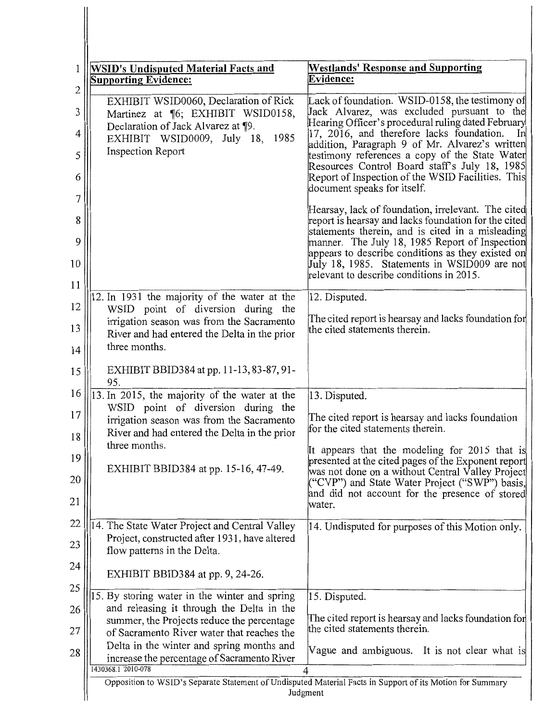| 1<br>$\overline{2}$ | <b>WSID's Undisputed Material Facts and</b><br><b>Supporting Evidence:</b>                                                      | <b>Westlands' Response and Supporting</b><br><b>Evidence:</b>                                                                                                                                          |
|---------------------|---------------------------------------------------------------------------------------------------------------------------------|--------------------------------------------------------------------------------------------------------------------------------------------------------------------------------------------------------|
| 3                   | EXHIBIT WSID0060, Declaration of Rick<br>Martinez at ¶6; EXHIBIT WSID0158,                                                      | Lack of foundation. WSID-0158, the testimony of<br>Jack Alvarez, was excluded pursuant to the                                                                                                          |
| 4                   | Declaration of Jack Alvarez at ¶9.<br>EXHIBIT WSID0009, July 18, 1985                                                           | Hearing Officer's procedural ruling dated February<br>17, 2016, and therefore lacks foundation.<br>In                                                                                                  |
| 5<br>6              | <b>Inspection Report</b>                                                                                                        | addition, Paragraph 9 of Mr. Alvarez's written<br>testimony references a copy of the State Water<br>Resources Control Board staff's July 18, 1985<br>Report of Inspection of the WSID Facilities. This |
| 7                   |                                                                                                                                 | document speaks for itself.                                                                                                                                                                            |
| 8                   |                                                                                                                                 | Hearsay, lack of foundation, irrelevant. The cited<br>report is hearsay and lacks foundation for the cited<br>statements therein, and is cited in a misleading                                         |
| 9<br>10             |                                                                                                                                 | manner. The July 18, 1985 Report of Inspection<br>appears to describe conditions as they existed on<br>July 18, 1985. Statements in WSID009 are not<br>relevant to describe conditions in 2015.        |
| 11                  | 12. In 1931 the majority of the water at the                                                                                    | 12. Disputed.                                                                                                                                                                                          |
| 12<br>13            | WSID point of diversion during the<br>irrigation season was from the Sacramento<br>River and had entered the Delta in the prior | The cited report is hearsay and lacks foundation for<br>the cited statements therein.                                                                                                                  |
| 14                  | three months.                                                                                                                   |                                                                                                                                                                                                        |
| 15                  | EXHIBIT BBID384 at pp. 11-13, 83-87, 91-<br>95.                                                                                 |                                                                                                                                                                                                        |
| 16                  | 13. In 2015, the majority of the water at the                                                                                   | 13. Disputed.                                                                                                                                                                                          |
| 17<br>18            | WSID point of diversion during the<br>irrigation season was from the Sacramento<br>River and had entered the Delta in the prior | The cited report is hearsay and lacks foundation<br>for the cited statements therein.                                                                                                                  |
| 19                  | three months.                                                                                                                   | It appears that the modeling for 2015 that is                                                                                                                                                          |
| 20                  | EXHIBIT BBID384 at pp. 15-16, 47-49.                                                                                            | presented at the cited pages of the Exponent report<br>was not done on a without Central Valley Project<br>("CVP") and State Water Project ("SWP") basis,                                              |
| 21                  |                                                                                                                                 | and did not account for the presence of stored<br>water.                                                                                                                                               |
| 22                  | 14. The State Water Project and Central Valley                                                                                  | 14. Undisputed for purposes of this Motion only.                                                                                                                                                       |
| 23                  | Project, constructed after 1931, have altered<br>flow patterns in the Delta.                                                    |                                                                                                                                                                                                        |
| 24                  | EXHIBIT BBID384 at pp. 9, 24-26.                                                                                                |                                                                                                                                                                                                        |
| 25                  | 15. By storing water in the winter and spring                                                                                   | 15. Disputed.                                                                                                                                                                                          |
| 26                  | and releasing it through the Delta in the<br>summer, the Projects reduce the percentage                                         | The cited report is hearsay and lacks foundation for                                                                                                                                                   |
| 27                  | of Sacramento River water that reaches the<br>Delta in the winter and spring months and                                         | the cited statements therein.                                                                                                                                                                          |
| 28                  | increase the percentage of Sacramento River<br>1430368.1 2010-078                                                               | Vague and ambiguous. It is not clear what is<br>4                                                                                                                                                      |
|                     |                                                                                                                                 | Opposition to WSID's Separate Statement of Undisputed Material Facts in Support of its Motion for Summary<br>Judgment                                                                                  |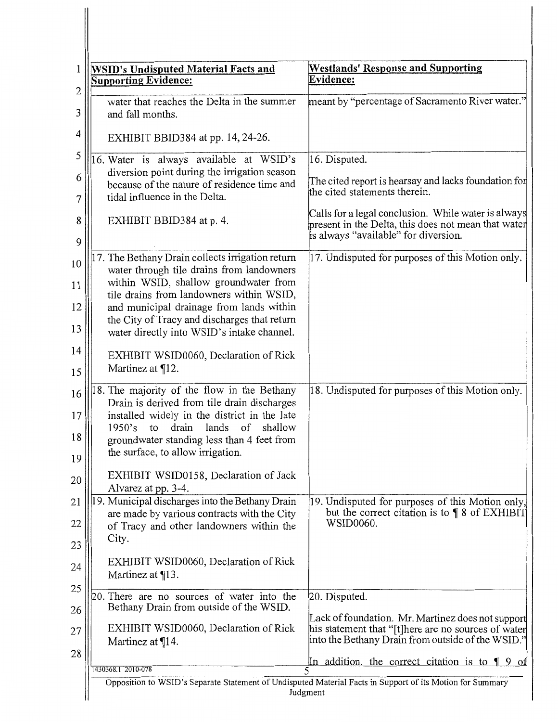| 1<br>$\overline{c}$  | <b>WSID's Undisputed Material Facts and</b><br><b>Supporting Evidence:</b>                                                                                                                                                                                                                                                   | <b>Westlands' Response and Supporting</b><br>Evidence:                                                                                                        |
|----------------------|------------------------------------------------------------------------------------------------------------------------------------------------------------------------------------------------------------------------------------------------------------------------------------------------------------------------------|---------------------------------------------------------------------------------------------------------------------------------------------------------------|
| 3                    | water that reaches the Delta in the summer<br>and fall months.                                                                                                                                                                                                                                                               | meant by "percentage of Sacramento River water."                                                                                                              |
| 4                    | EXHIBIT BBID384 at pp. $14$ , $24-26$ .                                                                                                                                                                                                                                                                                      |                                                                                                                                                               |
| 5                    | 16. Water is always available at WSID's                                                                                                                                                                                                                                                                                      | 16. Disputed.                                                                                                                                                 |
| 6<br>7               | diversion point during the irrigation season<br>because of the nature of residence time and<br>tidal influence in the Delta.                                                                                                                                                                                                 | The cited report is hearsay and lacks foundation for<br>the cited statements therein.                                                                         |
| 8<br>9               | EXHIBIT BBID384 at p. 4.                                                                                                                                                                                                                                                                                                     | Calls for a legal conclusion. While water is always<br>present in the Delta, this does not mean that water<br>is always "available" for diversion.            |
| 10<br>11<br>12<br>13 | 17. The Bethany Drain collects irrigation return<br>water through tile drains from landowners<br>within WSID, shallow groundwater from<br>tile drains from landowners within WSID,<br>and municipal drainage from lands within<br>the City of Tracy and discharges that return<br>water directly into WSID's intake channel. | 17. Undisputed for purposes of this Motion only.                                                                                                              |
| 14<br>15             | EXHIBIT WSID0060, Declaration of Rick<br>Martinez at ¶12.                                                                                                                                                                                                                                                                    |                                                                                                                                                               |
| 16<br>17<br>18<br>19 | 18. The majority of the flow in the Bethany<br>Drain is derived from tile drain discharges<br>installed widely in the district in the late<br>drain<br>lands<br>of<br>1950's<br>shallow<br>to<br>groundwater standing less than 4 feet from<br>the surface, to allow irrigation.                                             | 18. Undisputed for purposes of this Motion only.                                                                                                              |
| 20                   | EXHIBIT WSID0158, Declaration of Jack<br>Alvarez at pp. 3-4.                                                                                                                                                                                                                                                                 |                                                                                                                                                               |
| 21                   | 19. Municipal discharges into the Bethany Drain                                                                                                                                                                                                                                                                              | 19. Undisputed for purposes of this Motion only,<br>but the correct citation is to $\P$ 8 of EXHIBIT                                                          |
| 22                   | are made by various contracts with the City<br>of Tracy and other landowners within the<br>City.                                                                                                                                                                                                                             | WSID0060.                                                                                                                                                     |
| 23<br>24             | EXHIBIT WSID0060, Declaration of Rick                                                                                                                                                                                                                                                                                        |                                                                                                                                                               |
| 25                   | Martinez at ¶13.                                                                                                                                                                                                                                                                                                             |                                                                                                                                                               |
| 26                   | 20. There are no sources of water into the<br>Bethany Drain from outside of the WSID.                                                                                                                                                                                                                                        | 20. Disputed.                                                                                                                                                 |
| 27                   | EXHIBIT WSID0060, Declaration of Rick<br>Martinez at ¶14.                                                                                                                                                                                                                                                                    | Lack of foundation. Mr. Martinez does not support<br>his statement that "[t]here are no sources of water<br>into the Bethany Drain from outside of the WSID." |
| 28                   |                                                                                                                                                                                                                                                                                                                              | In addition, the correct citation is to ¶ 9 of                                                                                                                |
|                      | 1430368.1 2010-078                                                                                                                                                                                                                                                                                                           | Opposition to WSID's Separate Statement of Undisputed Material Facts in Support of its Motion for Summary                                                     |
|                      |                                                                                                                                                                                                                                                                                                                              | Judgment                                                                                                                                                      |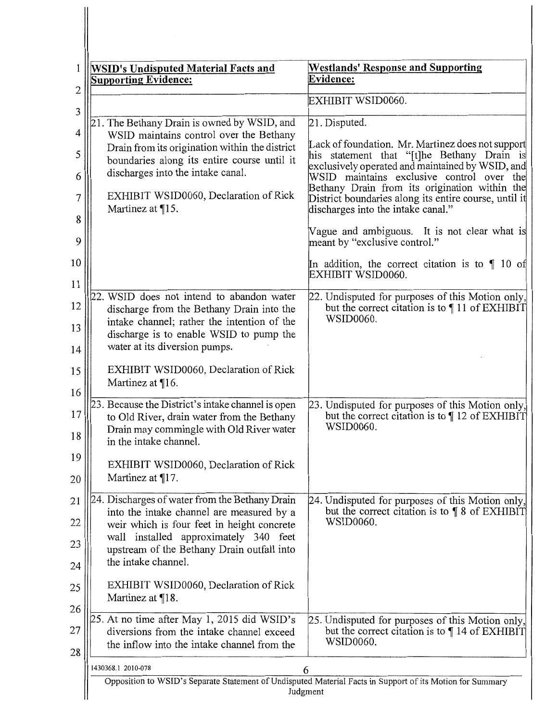| <b>WSID's Undisputed Material Facts and</b><br><b>Supporting Evidence:</b>                                                                                                    | <b>Westlands' Response and Supporting</b><br>Evidence:                                                                                                                                    |
|-------------------------------------------------------------------------------------------------------------------------------------------------------------------------------|-------------------------------------------------------------------------------------------------------------------------------------------------------------------------------------------|
|                                                                                                                                                                               | EXHIBIT WSID0060.                                                                                                                                                                         |
| 21. The Bethany Drain is owned by WSID, and                                                                                                                                   | 21. Disputed.                                                                                                                                                                             |
| WSID maintains control over the Bethany<br>Drain from its origination within the district<br>boundaries along its entire course until it<br>discharges into the intake canal. | Lack of foundation. Mr. Martinez does not support<br>his statement that "[t]he Bethany Drain is<br>exclusively operated and maintained by WSID, and                                       |
| EXHIBIT WSID0060, Declaration of Rick<br>Martinez at $\P$ 15.                                                                                                                 | WSID maintains exclusive control over the<br>Bethany Drain from its origination within the<br>District boundaries along its entire course, until it<br>discharges into the intake canal." |
|                                                                                                                                                                               | Vague and ambiguous. It is not clear what is<br>meant by "exclusive control."                                                                                                             |
|                                                                                                                                                                               | In addition, the correct citation is to $\P$ 10 of<br>EXHIBIT WSID0060.                                                                                                                   |
| 22. WSID does not intend to abandon water<br>discharge from the Bethany Drain into the<br>intake channel; rather the intention of the                                         | 22. Undisputed for purposes of this Motion only,<br>but the correct citation is to 11 of EXHIBIT<br>WSID0060.                                                                             |
| discharge is to enable WSID to pump the<br>water at its diversion pumps.                                                                                                      |                                                                                                                                                                                           |
| EXHIBIT WSID0060, Declaration of Rick<br>Martinez at ¶16.                                                                                                                     |                                                                                                                                                                                           |
| 23. Because the District's intake channel is open                                                                                                                             | 23. Undisputed for purposes of this Motion only,                                                                                                                                          |
| to Old River, drain water from the Bethany<br>Drain may commingle with Old River water<br>in the intake channel.                                                              | but the correct citation is to $\P$ 12 of EXHIBIT<br>WSID0060.                                                                                                                            |
| EXHIBIT WSID0060, Declaration of Rick<br>Martinez at ¶17.                                                                                                                     |                                                                                                                                                                                           |
| 24. Discharges of water from the Bethany Drain                                                                                                                                | 24. Undisputed for purposes of this Motion only,                                                                                                                                          |
| into the intake channel are measured by a<br>weir which is four feet in height concrete                                                                                       | but the correct citation is to $\P$ 8 of EXHIBIT<br>WSID0060.                                                                                                                             |
| installed approximately 340 feet<br>wall<br>upstream of the Bethany Drain outfall into                                                                                        |                                                                                                                                                                                           |
| the intake channel.                                                                                                                                                           |                                                                                                                                                                                           |
| EXHIBIT WSID0060, Declaration of Rick<br>Martinez at ¶18.                                                                                                                     |                                                                                                                                                                                           |
| 25. At no time after May 1, 2015 did WSID's<br>diversions from the intake channel exceed<br>the inflow into the intake channel from the                                       | 25. Undisputed for purposes of this Motion only,<br>but the correct citation is to $\P$ 14 of EXHIBIT<br>WSID0060.                                                                        |
| 1430368.1 2010-078                                                                                                                                                            | 6                                                                                                                                                                                         |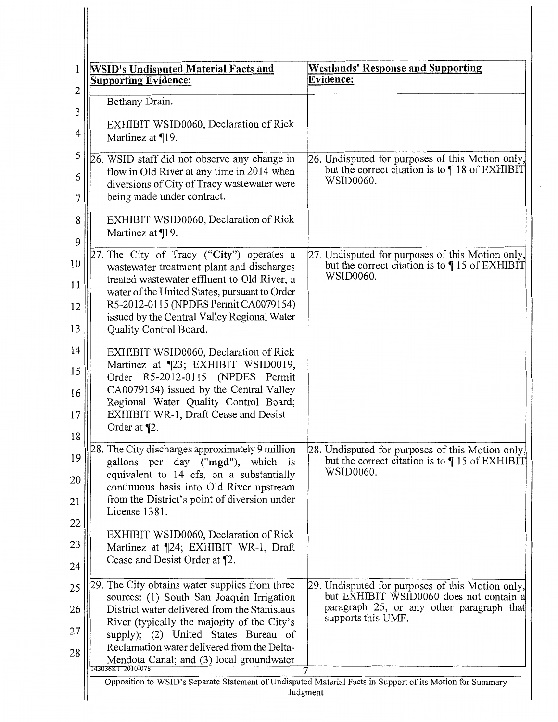| 1            | <b>WSID's Undisputed Material Facts and</b><br><b>Supporting Evidence:</b>                 | <b>Westlands' Response and Supporting</b><br>Evidence:                                                    |
|--------------|--------------------------------------------------------------------------------------------|-----------------------------------------------------------------------------------------------------------|
| $\mathbf{2}$ | Bethany Drain.                                                                             |                                                                                                           |
| 3            |                                                                                            |                                                                                                           |
| 4            | EXHIBIT WSID0060, Declaration of Rick<br>Martinez at $\P$ 19.                              |                                                                                                           |
| 5            |                                                                                            |                                                                                                           |
|              | 26. WSID staff did not observe any change in<br>flow in Old River at any time in 2014 when | 26. Undisputed for purposes of this Motion only,<br>but the correct citation is to $\P$ 18 of EXHIBIT     |
| 6            | diversions of City of Tracy wastewater were                                                | WSID0060.                                                                                                 |
| 7            | being made under contract.                                                                 |                                                                                                           |
| 8            | EXHIBIT WSID0060, Declaration of Rick                                                      |                                                                                                           |
| 9            | Martinez at ¶19.                                                                           |                                                                                                           |
| 10           | 27. The City of Tracy ("City") operates a<br>wastewater treatment plant and discharges     | 27. Undisputed for purposes of this Motion only,<br>but the correct citation is to [15 of EXHIBIT]        |
| 11           | treated wastewater effluent to Old River, a                                                | WSID0060.                                                                                                 |
| 12           | water of the United States, pursuant to Order<br>R5-2012-0115 (NPDES Permit CA0079154)     |                                                                                                           |
|              | issued by the Central Valley Regional Water                                                |                                                                                                           |
| 13           | Quality Control Board.                                                                     |                                                                                                           |
| 14           | EXHIBIT WSID0060, Declaration of Rick                                                      |                                                                                                           |
| 15           | Martinez at [23; EXHIBIT WSID0019,<br>Order R5-2012-0115 (NPDES Permit                     |                                                                                                           |
| 16           | CA0079154) issued by the Central Valley                                                    |                                                                                                           |
| 17           | Regional Water Quality Control Board;<br>EXHIBIT WR-1, Draft Cease and Desist              |                                                                                                           |
| 18           | Order at ¶2.                                                                               |                                                                                                           |
| 19           | 28. The City discharges approximately 9 million                                            | 28. Undisputed for purposes of this Motion only,                                                          |
|              | gallons per day ("mgd"), which is<br>equivalent to 14 cfs, on a substantially              | but the correct citation is to [15 of EXHIBIT]<br>WSID0060.                                               |
| 20           | continuous basis into Old River upstream                                                   |                                                                                                           |
| 21           | from the District's point of diversion under<br>License 1381.                              |                                                                                                           |
| 22           | EXHIBIT WSID0060, Declaration of Rick                                                      |                                                                                                           |
| 23           | Martinez at ¶24; EXHIBIT WR-1, Draft                                                       |                                                                                                           |
| 24           | Cease and Desist Order at ¶2.                                                              |                                                                                                           |
| 25           | 29. The City obtains water supplies from three                                             | 29. Undisputed for purposes of this Motion only,                                                          |
| 26           | sources: (1) South San Joaquin Irrigation<br>District water delivered from the Stanislaus  | but EXHIBIT WSID0060 does not contain a<br>paragraph 25, or any other paragraph that                      |
|              | River (typically the majority of the City's                                                | supports this UMF.                                                                                        |
| 27           | supply); (2) United States Bureau of<br>Reclamation water delivered from the Delta-        |                                                                                                           |
| 28           | Mendota Canal; and (3) local groundwater<br>1430368.1 2010-078                             |                                                                                                           |
|              |                                                                                            | Opposition to WSID's Separate Statement of Undisputed Material Facts in Support of its Motion for Summary |
|              |                                                                                            | Judgment                                                                                                  |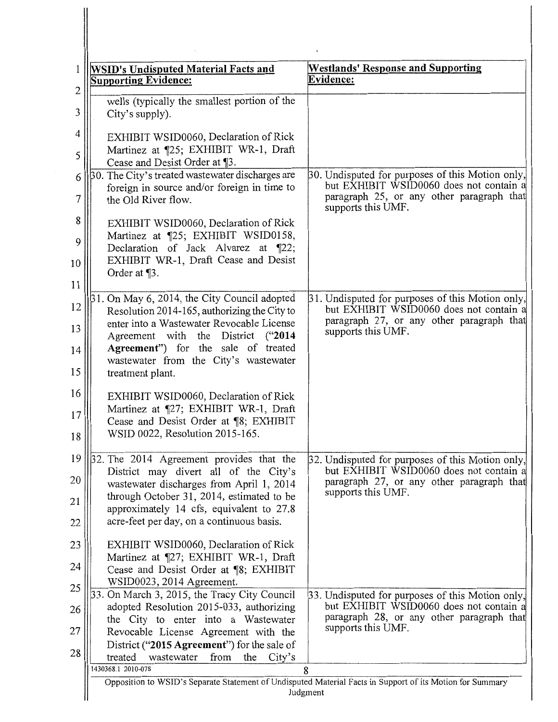| 1                   | <b>WSID's Undisputed Material Facts and</b><br><b>Supporting Evidence:</b>                                                                                                 | <b>Westlands' Response and Supporting</b><br>Evidence:                                                                |
|---------------------|----------------------------------------------------------------------------------------------------------------------------------------------------------------------------|-----------------------------------------------------------------------------------------------------------------------|
| $\overline{c}$<br>3 | wells (typically the smallest portion of the<br>City's supply).                                                                                                            |                                                                                                                       |
| 4<br>5              | EXHIBIT WSID0060, Declaration of Rick<br>Martinez at ¶25; EXHIBIT WR-1, Draft                                                                                              |                                                                                                                       |
| 6                   | Cease and Desist Order at ¶3.<br>30. The City's treated wastewater discharges are                                                                                          | 30. Undisputed for purposes of this Motion only,                                                                      |
| 7                   | foreign in source and/or foreign in time to<br>the Old River flow.                                                                                                         | but EXHIBIT WSID0060 does not contain a<br>paragraph 25, or any other paragraph that<br>supports this UMF.            |
| 8<br>9<br>10        | EXHIBIT WSID0060, Declaration of Rick<br>Martinez at ¶25; EXHIBIT WSID0158,<br>Declaration of Jack Alvarez at ¶22;<br>EXHIBIT WR-1, Draft Cease and Desist<br>Order at ¶3. |                                                                                                                       |
| 11                  | 31. On May 6, 2014, the City Council adopted                                                                                                                               | 31. Undisputed for purposes of this Motion only,                                                                      |
| 12<br>13            | Resolution 2014-165, authorizing the City to<br>enter into a Wastewater Revocable License                                                                                  | but EXHIBIT WSID0060 does not contain a<br>paragraph 27, or any other paragraph that<br>supports this UMF.            |
| 14<br>15            | Agreement with the District ("2014<br>Agreement") for the sale of treated<br>wastewater from the City's wastewater<br>treatment plant.                                     |                                                                                                                       |
| 16<br>17<br>18      | EXHIBIT WSID0060, Declaration of Rick<br>Martinez at ¶27; EXHIBIT WR-1, Draft<br>Cease and Desist Order at ¶8; EXHIBIT<br>WSID 0022, Resolution 2015-165.                  |                                                                                                                       |
| 19                  | 32. The 2014 Agreement provides that the                                                                                                                                   | 32. Undisputed for purposes of this Motion only,                                                                      |
| 20                  | District may divert all of the City's<br>wastewater discharges from April 1, 2014                                                                                          | but EXHIBIT WSID0060 does not contain a<br>paragraph 27, or any other paragraph that                                  |
| 21                  | through October 31, 2014, estimated to be<br>approximately 14 cfs, equivalent to 27.8                                                                                      | supports this UMF.                                                                                                    |
| 22                  | acre-feet per day, on a continuous basis.                                                                                                                                  |                                                                                                                       |
| 23                  | EXHIBIT WSID0060, Declaration of Rick                                                                                                                                      |                                                                                                                       |
| 24                  | Martinez at ¶27; EXHIBIT WR-1, Draft<br>Cease and Desist Order at ¶8; EXHIBIT                                                                                              |                                                                                                                       |
| 25                  | WSID0023, 2014 Agreement.                                                                                                                                                  |                                                                                                                       |
| 26                  | 33. On March 3, 2015, the Tracy City Council<br>adopted Resolution 2015-033, authorizing                                                                                   | 33. Undisputed for purposes of this Motion only,<br>but EXHIBIT WSID0060 does not contain a                           |
| 27                  | the City to enter into a Wastewater<br>Revocable License Agreement with the                                                                                                | paragraph 28, or any other paragraph that<br>supports this UMF.                                                       |
| 28                  | District ("2015 Agreement") for the sale of                                                                                                                                |                                                                                                                       |
|                     | treated<br>wastewater<br>from<br>the<br>City's<br>1430368.1 2010-078                                                                                                       | 8                                                                                                                     |
|                     |                                                                                                                                                                            | Opposition to WSID's Separate Statement of Undisputed Material Facts in Support of its Motion for Summary<br>Judgment |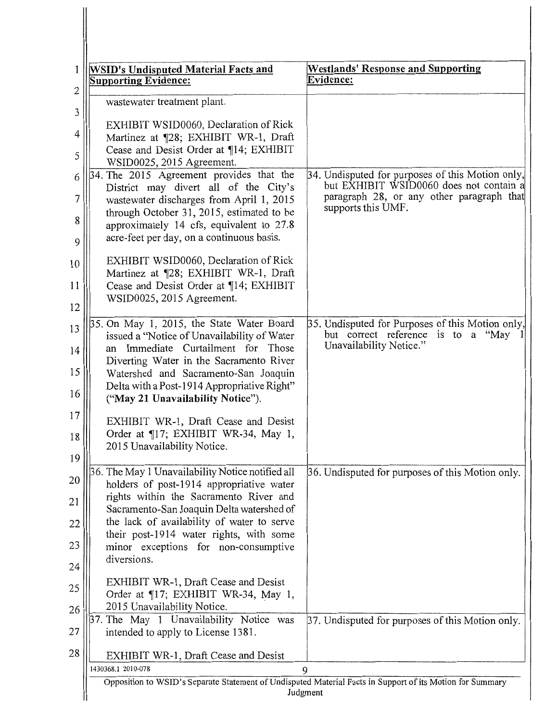| <b>WSID's Undisputed Material Facts and</b><br><b>Supporting Evidence:</b>                                              | <b>Westlands' Response and Supporting</b><br><b>Evidence:</b>                                                     |
|-------------------------------------------------------------------------------------------------------------------------|-------------------------------------------------------------------------------------------------------------------|
| wastewater treatment plant.                                                                                             |                                                                                                                   |
| EXHIBIT WSID0060, Declaration of Rick<br>Martinez at ¶28; EXHIBIT WR-1, Draft<br>Cease and Desist Order at ¶14; EXHIBIT |                                                                                                                   |
| WSID0025, 2015 Agreement.<br>34. The 2015 Agreement provides that the                                                   | 34. Undisputed for purposes of this Motion only,                                                                  |
| District may divert all of the City's                                                                                   | but EXHIBIT WSID0060 does not contain a                                                                           |
| wastewater discharges from April 1, 2015<br>through October 31, 2015, estimated to be                                   | paragraph 28, or any other paragraph that<br>supports this UMF.                                                   |
| approximately 14 cfs, equivalent to 27.8<br>acre-feet per day, on a continuous basis.                                   |                                                                                                                   |
| EXHIBIT WSID0060, Declaration of Rick<br>Martinez at ¶28; EXHIBIT WR-1, Draft                                           |                                                                                                                   |
| Cease and Desist Order at ¶14; EXHIBIT                                                                                  |                                                                                                                   |
| WSID0025, 2015 Agreement.                                                                                               |                                                                                                                   |
| 35. On May 1, 2015, the State Water Board<br>issued a "Notice of Unavailability of Water                                | 35. Undisputed for Purposes of this Motion only,<br>but correct reference is to a "May<br>Unavailability Notice." |
| an Immediate Curtailment for Those<br>Diverting Water in the Sacramento River                                           |                                                                                                                   |
| Watershed and Sacramento-San Joaquin                                                                                    |                                                                                                                   |
| Delta with a Post-1914 Appropriative Right"<br>("May 21 Unavailability Notice").                                        |                                                                                                                   |
| EXHIBIT WR-1, Draft Cease and Desist                                                                                    |                                                                                                                   |
| Order at ¶17; EXHIBIT WR-34, May 1,<br>2015 Unavailability Notice.                                                      |                                                                                                                   |
| 36. The May 1 Unavailability Notice notified all                                                                        | 36. Undisputed for purposes of this Motion only.                                                                  |
| holders of post-1914 appropriative water<br>rights within the Sacramento River and                                      |                                                                                                                   |
| Sacramento-San Joaquin Delta watershed of                                                                               |                                                                                                                   |
| the lack of availability of water to serve<br>their post-1914 water rights, with some                                   |                                                                                                                   |
| minor exceptions for non-consumptive                                                                                    |                                                                                                                   |
| diversions.                                                                                                             |                                                                                                                   |
| EXHIBIT WR-1, Draft Cease and Desist                                                                                    |                                                                                                                   |
| Order at ¶17; EXHIBIT WR-34, May 1,<br>2015 Unavailability Notice.                                                      |                                                                                                                   |
| 37. The May 1 Unavailability Notice was                                                                                 | 37. Undisputed for purposes of this Motion only.                                                                  |
| intended to apply to License 1381.                                                                                      |                                                                                                                   |
| EXHIBIT WR-1, Draft Cease and Desist                                                                                    |                                                                                                                   |
| 1430368.1 2010-078                                                                                                      | 9<br>Opposition to WSID's Separate Statement of Undisputed Material Facts in Support of its Motion for Summary    |

 $\mathbb{I}$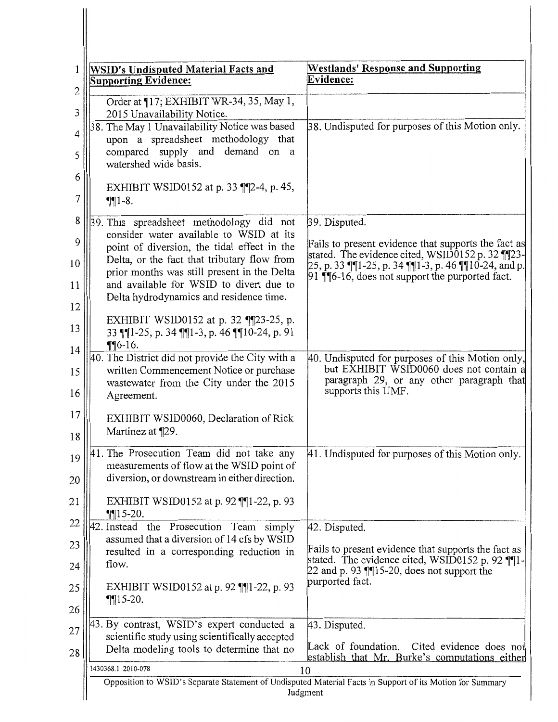| 1                              | <b>WSID's Undisputed Material Facts and</b><br><b>Supporting Evidence:</b>                                                                                                                                                      | <b>Westlands' Response and Supporting</b><br>Evidence:                                                                                                                                                               |
|--------------------------------|---------------------------------------------------------------------------------------------------------------------------------------------------------------------------------------------------------------------------------|----------------------------------------------------------------------------------------------------------------------------------------------------------------------------------------------------------------------|
| $\mathbf{2}$<br>$\mathfrak{Z}$ | Order at 17; EXHIBIT WR-34, 35, May 1,<br>2015 Unavailability Notice.                                                                                                                                                           |                                                                                                                                                                                                                      |
| 4<br>5                         | 38. The May 1 Unavailability Notice was based<br>upon a spreadsheet methodology that<br>compared supply and demand on a<br>watershed wide basis.                                                                                | 38. Undisputed for purposes of this Motion only.                                                                                                                                                                     |
| 6<br>7                         | EXHIBIT WSID0152 at p. 33 [[2-4, p. 45,<br>$\P\P1-8.$                                                                                                                                                                           |                                                                                                                                                                                                                      |
| 8                              | 39. This spreadsheet methodology did not<br>consider water available to WSID at its                                                                                                                                             | 39. Disputed.                                                                                                                                                                                                        |
| 9<br>10<br>11<br>12            | point of diversion, the tidal effect in the<br>Delta, or the fact that tributary flow from<br>prior months was still present in the Delta<br>and available for WSID to divert due to<br>Delta hydrodynamics and residence time. | Fails to present evidence that supports the fact as<br>stated. The evidence cited, WSID0152 p. 32 ¶¶23-<br>25, p. 33 ¶¶1-25, p. 34 ¶¶1-3, p. 46 ¶¶10-24, and p.<br>91 ¶. [6-16, does not support the purported fact. |
| 13<br>14                       | EXHIBIT WSID0152 at p. 32 $\P$ [23-25, p.<br>33    1-25, p. 34    1-3, p. 46    10-24, p. 91<br>$\P$ $6-16$ .                                                                                                                   |                                                                                                                                                                                                                      |
| 15<br>16                       | 40. The District did not provide the City with a<br>written Commencement Notice or purchase<br>wastewater from the City under the 2015<br>Agreement.                                                                            | 40. Undisputed for purposes of this Motion only,<br>but EXHIBIT WSID0060 does not contain a<br>paragraph 29, or any other paragraph that<br>supports this UMF.                                                       |
| 17<br>18                       | EXHIBIT WSID0060, Declaration of Rick<br>Martinez at ¶29.                                                                                                                                                                       |                                                                                                                                                                                                                      |
| 19<br>20                       | The Prosecution Team did not take any<br>I4 1<br>measurements of flow at the WSID point of<br>diversion, or downstream in either direction.                                                                                     | 41. Undisputed for purposes of this Motion only.                                                                                                                                                                     |
| 21                             | EXHIBIT WSID0152 at p. 92 $\P$ [1-22, p. 93<br>$\P$ 15-20.                                                                                                                                                                      |                                                                                                                                                                                                                      |
| 22<br>23                       | 42. Instead the Prosecution Team simply<br>assumed that a diversion of 14 cfs by WSID                                                                                                                                           | 42. Disputed.                                                                                                                                                                                                        |
| 24                             | resulted in a corresponding reduction in<br>flow.                                                                                                                                                                               | Fails to present evidence that supports the fact as<br>stated. The evidence cited, $WSID0152$ p. 92 $\P\P1$ -<br>22 and p. 93 $\P$ $15$ -20, does not support the                                                    |
| 25<br>26                       | EXHIBIT WSID0152 at p. 92 $\P$ [1-22, p. 93]<br>$\P\P15 - 20.$                                                                                                                                                                  | purported fact.                                                                                                                                                                                                      |
| 27<br>28                       | 43. By contrast, WSID's expert conducted a<br>scientific study using scientifically accepted<br>Delta modeling tools to determine that no                                                                                       | 43. Disputed.<br>Lack of foundation.<br>Cited evidence does not<br>establish that Mr. Burke's computations either                                                                                                    |
|                                | 1430368.1 2010-078                                                                                                                                                                                                              | 10                                                                                                                                                                                                                   |
|                                |                                                                                                                                                                                                                                 | Opposition to WSID's Separate Statement of Undisputed Material Facts in Support of its Motion for Summary<br>Judgment                                                                                                |

 $\blacksquare$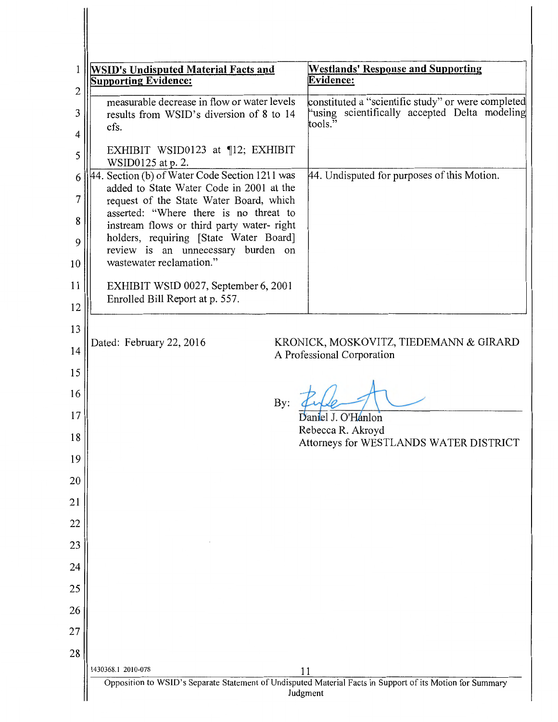| <b>WSID's Undisputed Material Facts and</b><br><b>Supporting Evidence:</b>                                                      | <b>Westlands' Response and Supporting</b><br><b>Evidence:</b>        |
|---------------------------------------------------------------------------------------------------------------------------------|----------------------------------------------------------------------|
| measurable decrease in flow or water levels                                                                                     | constituted a "scientific study" or were completed                   |
| results from WSID's diversion of 8 to 14<br>cfs.                                                                                | "using scientifically accepted Delta modeling<br>tools."             |
| EXHIBIT WSID0123 at ¶12; EXHIBIT<br>WSID0125 at p. 2.                                                                           |                                                                      |
| 44. Section (b) of Water Code Section 1211 was<br>added to State Water Code in 2001 at the                                      | 44. Undisputed for purposes of this Motion.                          |
| request of the State Water Board, which<br>asserted: "Where there is no threat to<br>instream flows or third party water- right |                                                                      |
| holders, requiring [State Water Board]<br>review is an unnecessary burden on                                                    |                                                                      |
| wastewater reclamation."                                                                                                        |                                                                      |
| EXHIBIT WSID 0027, September 6, 2001<br>Enrolled Bill Report at p. 557.                                                         |                                                                      |
|                                                                                                                                 |                                                                      |
| Dated: February 22, 2016                                                                                                        | KRONICK, MOSKOVITZ, TIEDEMANN & GIRARD<br>A Professional Corporation |
|                                                                                                                                 |                                                                      |
| By:                                                                                                                             |                                                                      |
|                                                                                                                                 | Daniel J. O'Hanlon<br>Rebecca R. Akroyd                              |
|                                                                                                                                 | Attorneys for WESTLANDS WATER DISTRICT                               |
|                                                                                                                                 |                                                                      |
|                                                                                                                                 |                                                                      |
|                                                                                                                                 |                                                                      |
|                                                                                                                                 |                                                                      |
|                                                                                                                                 |                                                                      |
|                                                                                                                                 |                                                                      |
|                                                                                                                                 |                                                                      |
|                                                                                                                                 |                                                                      |
|                                                                                                                                 |                                                                      |
|                                                                                                                                 |                                                                      |

╢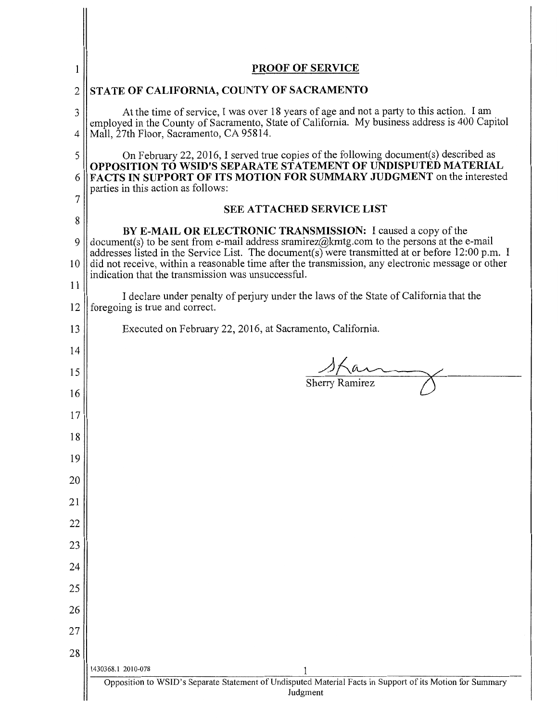| 1                  | <b>PROOF OF SERVICE</b>                                                                                                                                                                                                                                                                                                                                                                                                  |
|--------------------|--------------------------------------------------------------------------------------------------------------------------------------------------------------------------------------------------------------------------------------------------------------------------------------------------------------------------------------------------------------------------------------------------------------------------|
| 2                  | STATE OF CALIFORNIA, COUNTY OF SACRAMENTO                                                                                                                                                                                                                                                                                                                                                                                |
| 3<br>4             | At the time of service, I was over 18 years of age and not a party to this action. I am<br>employed in the County of Sacramento, State of California. My business address is 400 Capitol<br>Mall, 27th Floor, Sacramento, CA 95814.                                                                                                                                                                                      |
| 5<br>6             | On February 22, 2016, I served true copies of the following document(s) described as<br>OPPOSITION TO WSID'S SEPARATE STATEMENT OF UNDISPUTED MATERIAL<br>FACTS IN SUPPORT OF ITS MOTION FOR SUMMARY JUDGMENT on the interested<br>parties in this action as follows:                                                                                                                                                    |
| 7                  | <b>SEE ATTACHED SERVICE LIST</b>                                                                                                                                                                                                                                                                                                                                                                                         |
| 8<br>9<br>10<br>11 | BY E-MAIL OR ELECTRONIC TRANSMISSION: I caused a copy of the<br>document(s) to be sent from e-mail address sramirez@kmtg.com to the persons at the e-mail<br>addresses listed in the Service List. The document(s) were transmitted at or before 12:00 p.m. I<br>did not receive, within a reasonable time after the transmission, any electronic message or other<br>indication that the transmission was unsuccessful. |
| 12                 | I declare under penalty of perjury under the laws of the State of California that the<br>foregoing is true and correct.                                                                                                                                                                                                                                                                                                  |
| 13                 | Executed on February 22, 2016, at Sacramento, California.                                                                                                                                                                                                                                                                                                                                                                |
| 14                 |                                                                                                                                                                                                                                                                                                                                                                                                                          |
| 15                 | $\frac{\sqrt{10}}{\text{Sherry Ramirez}}$                                                                                                                                                                                                                                                                                                                                                                                |
| 16                 |                                                                                                                                                                                                                                                                                                                                                                                                                          |
| 17                 |                                                                                                                                                                                                                                                                                                                                                                                                                          |
| 18                 |                                                                                                                                                                                                                                                                                                                                                                                                                          |
| 19                 |                                                                                                                                                                                                                                                                                                                                                                                                                          |
| 20                 |                                                                                                                                                                                                                                                                                                                                                                                                                          |
| 21                 |                                                                                                                                                                                                                                                                                                                                                                                                                          |
| 22                 |                                                                                                                                                                                                                                                                                                                                                                                                                          |
| 23                 |                                                                                                                                                                                                                                                                                                                                                                                                                          |
| 24                 |                                                                                                                                                                                                                                                                                                                                                                                                                          |
| 25<br>26           |                                                                                                                                                                                                                                                                                                                                                                                                                          |
| 27                 |                                                                                                                                                                                                                                                                                                                                                                                                                          |
| 28                 |                                                                                                                                                                                                                                                                                                                                                                                                                          |
|                    | 1430368.1 2010-078                                                                                                                                                                                                                                                                                                                                                                                                       |
|                    | Opposition to WSID's Separate Statement of Undisputed Material Facts in Support of its Motion for Summary<br>Judgment                                                                                                                                                                                                                                                                                                    |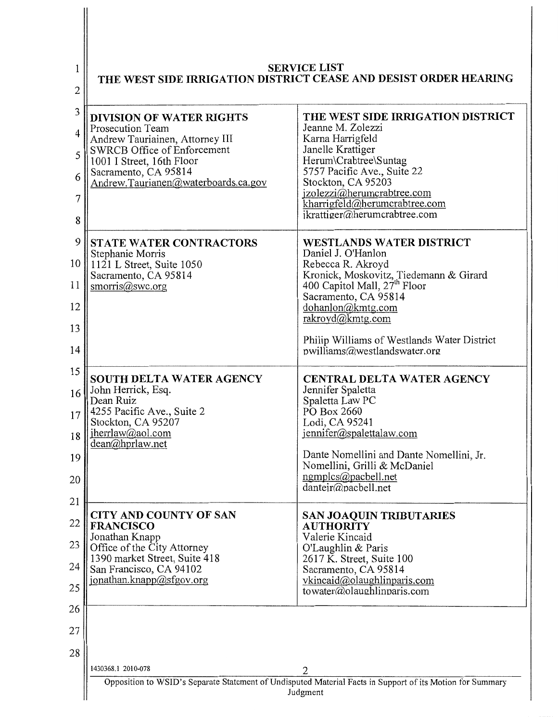| 1<br>2                                 | <b>SERVICE LIST</b><br>THE WEST SIDE IRRIGATION DISTRICT CEASE AND DESIST ORDER HEARING                                                                                                                           |                                                                                                                                                                                                                                                                                                              |  |
|----------------------------------------|-------------------------------------------------------------------------------------------------------------------------------------------------------------------------------------------------------------------|--------------------------------------------------------------------------------------------------------------------------------------------------------------------------------------------------------------------------------------------------------------------------------------------------------------|--|
| 3<br>4<br>5<br>6<br>7<br>8             | <b>DIVISION OF WATER RIGHTS</b><br>Prosecution Team<br>Andrew Tauriainen, Attorney III<br>SWRCB Office of Enforcement<br>1001 I Street, 16th Floor<br>Sacramento, CA 95814<br>Andrew.Taurianen@waterboards.ca.gov | THE WEST SIDE IRRIGATION DISTRICT<br>Jeanne M. Zolezzi<br>Karna Harrigfeld<br>Janelle Krattiger<br>Herum\Crabtree\Suntag<br>5757 Pacific Ave., Suite 22<br>Stockton, CA 95203<br>jzolezzi@herumcrabtree.com<br>kharrigfeld@herumcrabtree.com<br>ikrattiger@herumcrabtree.com                                 |  |
| 9<br>10<br>11<br>12<br>13<br>14        | <b>STATE WATER CONTRACTORS</b><br>Stephanie Morris<br>$1121$ L Street, Suite 1050<br>Sacramento, CA 95814<br>smorris@swc.org                                                                                      | WESTLANDS WATER DISTRICT<br>Daniel J. O'Hanlon<br>Rebecca R. Akroyd<br>Kronick, Moskovitz, Tiedemann & Girard<br>400 Capitol Mall, 27 <sup>th</sup> Floor<br>Sacramento, CA 95814<br>dohanlon@kmtg.com<br>rakroyd@kmtg.com<br>Philip Williams of Westlands Water District<br>$p$ williams@westlandswater.org |  |
| 15<br>16<br>17<br>18<br>19<br>20<br>21 | <b>SOUTH DELTA WATER AGENCY</b><br>John Herrick, Esq.<br>Dean Ruiz<br>4255 Pacific Ave., Suite 2<br>Stockton, CA 95207<br>jherrlaw@aol.com<br>dean@hprlaw.net                                                     | CENTRAL DELTA WATER AGENCY<br>Jennifer Spaletta<br>Spaletta Law PC<br>PO Box 2660<br>Lodi, CA 95241<br>jennifer@spalettalaw.com<br>Dante Nomellini and Dante Nomellini, Jr.<br>Nomellini, Grilli & McDaniel<br>ngmplcs@pacbell.net<br>danteir@pacbell.net                                                    |  |
| 22<br>23<br>24<br>25                   | <b>CITY AND COUNTY OF SAN</b><br><b>FRANCISCO</b><br>Jonathan Knapp<br>Office of the City Attorney<br>1390 market Street, Suite 418<br>San Francisco, CA 94102<br>jonathan.knapp@sfgov.org                        | <b>SAN JOAQUIN TRIBUTARIES</b><br><b>AUTHORITY</b><br>Valerie Kincaid<br>O'Laughlin & Paris<br>2617 K. Street, Suite 100<br>Sacramento, CA 95814<br>vkincaid@olaughlinparis.com<br>towater@olaughlinparis.com                                                                                                |  |
| 26<br>27<br>28                         |                                                                                                                                                                                                                   |                                                                                                                                                                                                                                                                                                              |  |
|                                        | 1430368.1 2010-078                                                                                                                                                                                                | 2<br>Opposition to WSID's Separate Statement of Undisputed Material Facts in Support of its Motion for Summary<br>Judgment                                                                                                                                                                                   |  |

 $\begin{array}{c} \hline \end{array}$